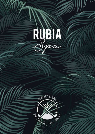

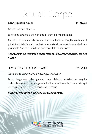# Rituali Corpo

#### MEDITERRANEAN DRAIN 80' €90.00

*Gonfiori edemi e ritenzioni*

Esplosione sensoriale che richiama gli aromi del Mediterraneo.

Esclusivo trattamento dall'azione drenante linfatico. L'argilla verde con i principi attivi dell'arancio renderà la pelle visibilmente più tonica, elastica e profumata. Sarete cullati da un piacevole stato di benessere.

## *Allevia i dolori e le tensioni dei muscoli stanchi. Rilassa le articolazioni, tonifica il corpo.*

#### REVITAL LEGS - DEFATICANTE GAMBE 60'  $\epsilon$ 75,00

*Trattamento comprensivo di massaggio localizzato*

Dona leggerezza alle gambe, una delicata esfoliazione seguita dall'applicazione di creme rigeneranti ad effetto drenante, riduce i ristagni dei liquidi e favorisce l'eliminazione delle scorie.

*Migliora il microcircolo, tonifica i tessuti, defaticante.* 

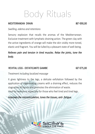Body Rituals

#### MEDITERRANEAN DRAIN 80' €90.00

*Swelling, edema and retentions*

Sensory explosion that recalls the aromas of the Mediterranean. Exclusive treatment with lymphatic draining action. The green clay with the active ingredients of orange will make the skin visibly more toned, elastic and fragrant. You will be lulled by a pleasant state of well-being.

## *Relieves pain and tension in tired muscles. Relax the joints, tone the body.*

### REVITAL LEGS - DEFATICANTE GAMBE 60'  $\epsilon$ 75.00

#### *Treatment including localized massage*

It gives lightness to the legs, a delicate exfoliation followed by the application of regenerating creams with a draining effect, reduces the stagnation of liquids and promotes the elimination of waste. Ideal for everyone, especially for those who feel tired and tired legs.

*Improves the microcirculation, tones the tissues, anti- fatigue.* 

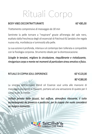# Rituali Corpo

#### BODY VIBES DECONTRATTURANTE 60' €85.00

*Trattamento comprensivo di massaggio da 30 min*

Sentirete la pelle tornare a "respirare" grazie all'energia del sale nero, esaltato dalla freschezza degli oli essenziali di Patchouli & Sandalo che regala nuova vita, morbidezza e luminosità alla pelle.

La sua azione è profonda, intensa e al contempo ben tollerata e compatibile con la fisiologia corporea. Strumento ideale per la disintossicazione.

*Scioglie le tensioni, migliora la circolazione, riequilibrante e rivitalizzante, rinvigorisce corpo e mente nei momenti di particolare stress emotivo e fisico.* 

#### RITUALE DI COPPIA SOUL EXPERIENCE 60' €120.00

#### 80' €180,00

La sinergia dell'esclusiva blend oil Essenze soul unita alle manovre di massaggio avvolgenti e rilassanti, portano ad una sensazione di quiete per il corpo e per la mente.

*Utilizzo privato della jacuzzi, luci soffuse, atmosfera rilassante, il tutto accompagnato da prosecco e pasticcini, per la coppia che vuole concedersi un magico momento.* 

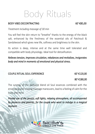Body Rituals

#### BODY VIBES DECONTRACTING 60' €85,00

*Treatment including massage of 30 min*

You will feel the skin return to "breathe" thanks to the energy of the black salt, enhanced by the freshness of the essential oils of Patchouli & Sandalwood which gives new life, softness and brightness to the skin.

Its action is deep, intense and at the same time well tolerated and compatible with body physiology. Ideal tool for detoxification.

*Relieves tension, improves circulation, rebalances and revitalizes, invigorates body and mind in moments of emotional and physical stress.* 

#### COUPLE RITUAL SOUL EXPERIENCE 60' €120,00

#### 80' €180,00

The synergy of the exclusive blend oil Soul essences combined with the enveloping and relaxing massage maneuvers, lead to a feeling of calm for the body and mind.

*Private use of the jacuzzi, soft lights, relaxing atmosphere, all accompanied by prosecco and pastries, for the couple who want to indulge in a magical moment.* 

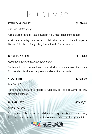# Rituali Viso

#### ETERNITY MIRABILIFT 60' €90.00

*Anti-age, effetto lifting*

Acido Ialuronico stabilizzato, Reverskin ® & Liftiss ® rigenerano la pelle.

Adatto a tutte le stagioni e per tutti i tipi di pelle. Nutre, illumina e ricompatta i tessuti. Stimola un lifting attivo, ridensificando l'ovale del viso.

#### *Illuminante, purificante, antinfiammatorio*

Trattamento illuminante ed esaltatore dell'abbronzatura a base di Vitamina C, dona alla cute Idratazione profonda, elasticità e luminosità.

#### VITALITY VIBE 60' €75.00

*Pelli Sensibili*

Trattamento detox, nutre, ripara e rivitalizza, per pelli denutrite, secche, stressate e stanche.

### HIDRAREMEDY 60' €85,00

*Pelle disidratata*

Trattamento indicato per pelli disidratate e spente*.* Dona compattezza, luminosità e una profonda idratazione cutanea. Adatto anche agli uomini

 $GLOWRIOUS C SKIN$  60'  $\epsilon$ 80.00



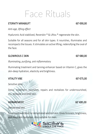## Face Rituals

#### ETERNITY MIRABILIFT 60' €90.00

*Anti-age, lifting effect*

Hyaluronic Acid stabilized, Reverskin ® & Liftiss ® regenerate the skin.

Suitable for all seasons and for all skin types. It nourishes, illuminates and recompacts the tissues. It stimulates an active lifting, redensifying the oval of the face.

#### $GLOWRIOUS C SKIN$  60'  $\epsilon$ 80,00

### *Illuminating, purifying, anti-inflammatory*

Illuminating treatment and tanning enhancer based on Vitamin C, gives the skin-deep hydration, elasticity and brightness.

#### VITALITY VIBE  $60' \in 75,00$

*Sensitive skins*

Detox treatment, nourishes, repairs and revitalizes for undernourished, dry, stressed and tired skin.

### HIDRAREMEDY 60' €85,00

*Dehydrated skin*

Í

Treatment indicated for dehydrated and dull skin. Gives firmness, brightness, and deep skin hydration. Also suitable for men.



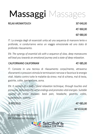#### RELAX AROMATOUCH 30' €40.00

45' €60,00

60' €80,00

IT: La sinergia degli oli essenziali unita ad una sequenza di manovre lente e profonde, vi condurranno verso un viaggio emozionale ed uno stato di profondo rilassamento.

EN: *The synergy of essential oils with a sequence of slow, deep manoeuvres will lead you towards an emotional journey and a state of deep relaxation.*

#### CALIFORNIANO *CALIFORNIAN* 45' €85,00

IT: Consiste in una tecnica di rilassamento corpo/mente, attraverso sfioramenti e pressioni stimola le terminazioni nervose e favorisce le energie vitali. Adatto contro tutte le malattie da stress: mal di schiena, mal di testa, gastrite, colite, ipertensione, asma.

EN: *It consists of a body / mind relaxation technique, through touches and pressures, stimulates the nerve endings and promotes vital energies. Suitable against all stress diseases: back pain, headache, gastritis, colitis, hypertension, asthma.*

IL PICCIOLO 45' €85,00

60' €110,00

IT: Massaggio Personalizzato EN: *Personalized Massage* 

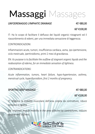### LINFODRENAGGIO *LYMPHATIC DRAINAGE* 45' €80,00

### 60' €100,00

IT: Ha lo scopo di facilitare il deflusso dei liquidi organici ristagnanti ed il riassorbimento di edemi, per una immediata sensazione di leggerezza.

CONTROINDICAZIONI:

Infiammazioni acute, tumori, insufficienza cardiaca, asma, ipo-ipertensione, ciclo mestruale, ipertiroidismo, primi 2 mesi di gravidanza.

EN: *Its purpose is to facilitate the outflow of stagnant organic liquids and the reabsorption of edema, for an immediate sensation of lightness.*

*CONTRAINDICATIONS:*

*Acute inflammation, tumors, heart failure, hypo-hypertension, asthma, menstrual cycle, hyperthyroidism, first 2 months of pregnancy.*

#### SPORTIVO *DEEP MASSAGE* 45' €80,00

60' €100,00

IT: Migliora la mobilità muscolare dell'area colpita da contratture, riduce tensione e rigidità.

EN: *Improves muscle mobility in the area affected by contractures, reduces tension and stiffness.*

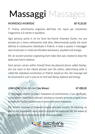### AYURVEDICO *AYURVEDIC* 60' €120,00

IT: Pratica antichissima originaria dell'India che nasce per mantenere l'organismo e la mente in equilibrio.

Ogni persona porta in sé tre forze bio-fisiche chiamate Dosha, ma una prevale più o meno nettamente sulle altre, determinando quella che viene definita la costituzione individuale o Prakriti; in base a questo il massaggio sarà strutturato in modo da infondere benessere, equilibrio ed energia.

EN: *An ancient practice originating from India that was created to keep the body and mind in balance.*

*Each person carries within himself three bio-physical forces called Doshas, but one more or less clearly prevails over the others, determining what is called the individual constitution or Prakriti; based on this, the massage will be structured in such a way as to instil well-being, balance and energy.*

#### LOMI LOMI (Onde del mare *Sea Waves*) 45' €80,00

IT: Massaggio olistico di origini Hawaiane ed antichissime, il suo significato, come anche i movimenti utilizzati, tendono a ricreare armonia proprio come le onde del Pacifico lambiscono le coste delle terre hawaiane.

EN*: Holistic massage of Hawaiian origins and very ancient, its meaning, as well as the movements used, tend to recreate harmony just like the waves of the Pacific lap the whetstones of the Hawaiian lands.*

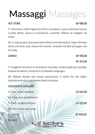### HOT STONE  $60' \epsilon 90.00$

IT: Diminuisce i dolori legati ad artriti e reumatismi, aiuta a eliminare tossine e acido lattico, rilassa la muscolatura, aumenta l'afflusso di ossigeno nel corpo.

EN: *It reduces pain associated with arthritis and rheumatism, helps eliminate toxins and lactic acid, relaxes the muscles, increases the flow of oxygen into the body.*

#### $CANDLE$  30'  $\epsilon$ 50,00

### 45' €75,00

IT: Scioglie le tensioni e le contratture muscolari, rende la pelle più morbida, idratata ed elastica, favorisce la circolazione sanguigna.

EN: *Relieves tension and muscle contractures, it makes the skin softer, hydrated and elastic, promotes blood circulation.*

#### LOCALIZZATO *LOCALIZED*

IT: Viso, collo e decolleté 15' €25,00 EN: *Face, neck and décolleté* IT: Piedi, caviglie e polpacci 15' €25,00 EN: *Feet, ankles and calves* IT: Schiena 20' €30,00 EN: *back*



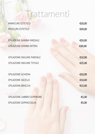# Trattamenti

| €20,00 |
|--------|
| €30,00 |
| €20,00 |
| €30,00 |
|        |
| €10,00 |
| €25,00 |
|        |
| €20,00 |
| €10,00 |
| €15,00 |
|        |
| €5,00  |
| €5,00  |
|        |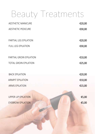## Beauty Treatments

| <b>AESTHETIC MANICURE</b>    | €20,00 |
|------------------------------|--------|
| <b>AESTHETIC PEDICURE</b>    | €30,00 |
|                              |        |
| PARTIAL LEG EPILATION        | €20,00 |
| <b>FULL LEG EPILATION</b>    | €30,00 |
|                              |        |
| PARTIAL GROIN EPILATION      | €10,00 |
| <b>TOTAL GROIN EPILATION</b> | €25,00 |
|                              |        |
| <b>BACK EPILATION</b>        | €20,00 |
| <b>ARMPIT EPILATION</b>      | €10,00 |
| <b>ARMS EPILATION</b>        | €15,00 |
|                              |        |
| <b>UPPER LIP EPILATION</b>   | €5,00  |
| <b>EYEBROW EPILATION</b>     | €5,00  |
|                              |        |
|                              |        |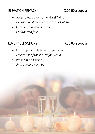## ELEVATION PRIVACY **€200,00** a coppia

- Accesso esclusivo diurno alla SPA di 1h *Exclusive daytime access to the SPA of 1h*
- Cocktail e tagliata di frutta *Cocktail and fruit*

## LUXURY SENSATIONS €50,00 a coppia

- Utilizzo privato della jacuzzi per 30min *Private use of the jacuzzi for 30min*
- Prosecco e pasticcini *Prosecco and pastries*

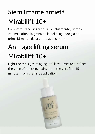## Siero liftante antietà Mirabilift 10+

Combatte i dieci segni dell'invecchiamento, riempie i volumi e affina la grana della pelle, agendo già dai primi 15 minuti dalla prima applicazione

## Anti-age lifting serum Mirabilift 10+

Fight the ten signs of aging, it fills volumes and refines the grain of the skin, acting from the very first 15 minutes from the first application